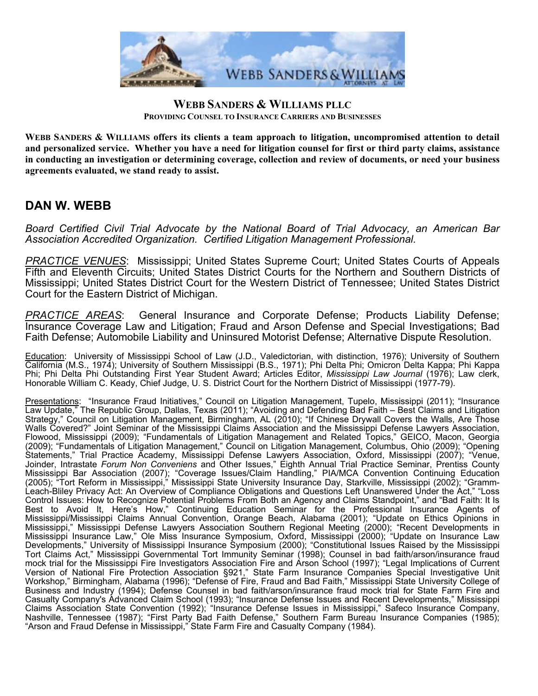

## **WEBB SANDERS & WILLIAMS PLLC PROVIDING COUNSEL TO INSURANCE CARRIERS AND BUSINESSES**

**WEBB SANDERS & WILLIAMS offers its clients a team approach to litigation, uncompromised attention to detail and personalized service. Whether you have a need for litigation counsel for first or third party claims, assistance in conducting an investigation or determining coverage, collection and review of documents, or need your business agreements evaluated, we stand ready to assist.** 

## **DAN W. WEBB**

*Board Certified Civil Trial Advocate by the National Board of Trial Advocacy, an American Bar Association Accredited Organization. Certified Litigation Management Professional.*

*PRACTICE VENUES*: Mississippi; United States Supreme Court; United States Courts of Appeals Fifth and Eleventh Circuits; United States District Courts for the Northern and Southern Districts of Mississippi; United States District Court for the Western District of Tennessee; United States District Court for the Eastern District of Michigan.

*PRACTICE AREAS*: General Insurance and Corporate Defense; Products Liability Defense; Insurance Coverage Law and Litigation; Fraud and Arson Defense and Special Investigations; Bad Faith Defense; Automobile Liability and Uninsured Motorist Defense; Alternative Dispute Resolution.

Education: University of Mississippi School of Law (J.D., Valedictorian, with distinction, 1976); University of Southern California (M.S., 1974); University of Southern Mississippi (B.S., 1971); Phi Delta Phi; Omicron Delta Kappa; Phi Kappa Phi; Phi Delta Phi Outstanding First Year Student Award; Articles Editor, *Mississippi Law Journal* (1976); Law clerk, Honorable William C. Keady, Chief Judge, U. S. District Court for the Northern District of Mississippi (1977-79).

Presentations: "Insurance Fraud Initiatives," Council on Litigation Management, Tupelo, Mississippi (2011); "Insurance Law Update," The Republic Group, Dallas, Texas (2011); "Avoiding and Defending Bad Faith – Best Claims and Litigation Strategy," Council on Litigation Management, Birmingham, AL (2010); "If Chinese Drywall Covers the Walls, Are Those Walls Covered?" Joint Seminar of the Mississippi Claims Association and the Mississippi Defense Lawyers Association, Flowood, Mississippi (2009); "Fundamentals of Litigation Management and Related Topics," GEICO, Macon, Georgia (2009); "Fundamentals of Litigation Management," Council on Litigation Management, Columbus, Ohio (2009); "Opening Statements," Trial Practice Academy, Mississippi Defense Lawyers Association, Oxford, Mississippi (2007); "Venue, Joinder, Intrastate *Forum Non Conveniens* and Other Issues," Eighth Annual Trial Practice Seminar, Prentiss County Mississippi Bar Association (2007); "Coverage Issues/Claim Handling," PIA/MCA Convention Continuing Education (2005); "Tort Reform in Mississippi," Mississippi State University Insurance Day, Starkville, Mississippi (2002); "Gramm-Leach-Bliley Privacy Act: An Overview of Compliance Obligations and Questions Left Unanswered Under the Act," "Loss Control Issues: How to Recognize Potential Problems From Both an Agency and Claims Standpoint," and "Bad Faith: It Is Best to Avoid It, Here's How," Continuing Education Seminar for the Professional Insurance Agents of Mississippi/Mississippi Claims Annual Convention, Orange Beach, Alabama (2001); "Update on Ethics Opinions in Mississippi," Mississippi Defense Lawyers Association Southern Regional Meeting (2000); "Recent Developments in Mississippi Insurance Law," Ole Miss Insurance Symposium, Oxford, Mississippi (2000); "Update on Insurance Law Developments," University of Mississippi Insurance Symposium (2000); "Constitutional Issues Raised by the Mississippi Tort Claims Act," Mississippi Governmental Tort Immunity Seminar (1998); Counsel in bad faith/arson/insurance fraud mock trial for the Mississippi Fire Investigators Association Fire and Arson School (1997); "Legal Implications of Current Version of National Fire Protection Association §921," State Farm Insurance Companies Special Investigative Unit Workshop," Birmingham, Alabama (1996); "Defense of Fire, Fraud and Bad Faith," Mississippi State University College of Business and Industry (1994); Defense Counsel in bad faith/arson/insurance fraud mock trial for State Farm Fire and Casualty Company's Advanced Claim School (1993); "Insurance Defense Issues and Recent Developments," Mississippi Claims Association State Convention (1992); "Insurance Defense Issues in Mississippi," Safeco Insurance Company, Nashville, Tennessee (1987); "First Party Bad Faith Defense," Southern Farm Bureau Insurance Companies (1985); "Arson and Fraud Defense in Mississippi," State Farm Fire and Casualty Company (1984).